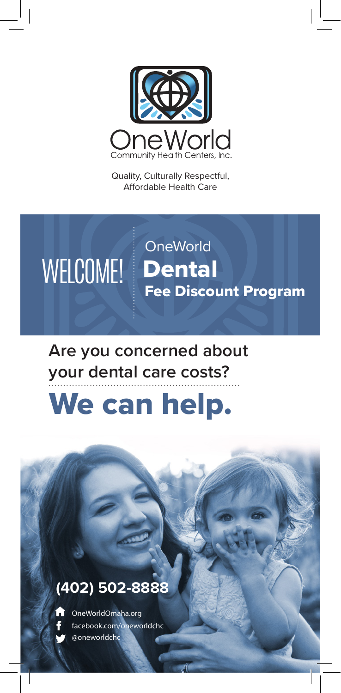

Quality, Culturally Respectful, Affordable Health Care



## **Are you concerned about your dental care costs?**

# We can help.

#### **(402) 502-8888**



@oneworldchc OneWorldOmaha.org facebook.com/oneworldchc